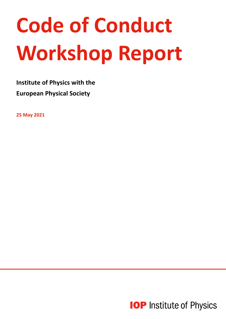# **Code of Conduct Workshop Report**

**Institute of Physics with the European Physical Society**

**25 May 2021**

**IOP** Institute of Physics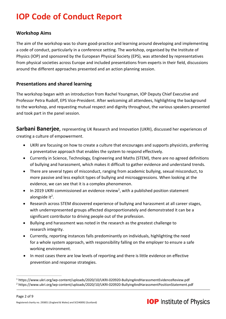# **IOP Code of Conduct Report**

### **Workshop Aims**

The aim of the workshop was to share good-practice and learning around developing and implementing a code of conduct, particularly in a conference setting. The workshop, organised by the Institute of Physics (IOP) and sponsored by the European Physical Society (EPS), was attended by representatives from physical societies across Europe and included presentations from experts in their field, discussions around the different approaches presented and an action planning session.

#### **Presentations and shared learning**

The workshop began with an introduction from Rachel Youngman, IOP Deputy Chief Executive and Professor Petra Rudolf, EPS Vice-President. After welcoming all attendees, highlighting the background to the workshop, and requesting mutual respect and dignity throughout, the various speakers presented and took part in the panel session.

**Sarbani Banerjee**, representing UK Research and Innovation (UKRI), discussed her experiences of creating a culture of empowerment.

- UKRI are focusing on how to create a culture that encourages and supports physicists, preferring a preventative approach that enables the system to respond effectively.
- Currently in Science, Technology, Engineering and Maths (STEM), there are no agreed definitions of bullying and harassment, which makes it difficult to gather evidence and understand trends.
- There are several types of misconduct, ranging from academic bullying, sexual misconduct, to more passive and less explicit types of bullying and microaggressions. When looking at the evidence, we can see that it is a complex phenomenon.
- $\bullet$  In 2019 UKRI commissioned an evidence review<sup>1</sup>, with a published position statement alongside it $^2$ .
- Research across STEM discovered experience of bullying and harassment at all career stages, with underrepresented groups affected disproportionately and demonstrated it can be a significant contributor to driving people out of the profession.
- Bullying and harassment was noted in the research as the greatest challenge to research integrity.
- Currently, reporting instances falls predominantly on individuals, highlighting the need for a whole system approach, with responsibility falling on the employer to ensure a safe working environment.
- In most cases there are low levels of reporting and there is little evidence on effective prevention and response strategies.



<sup>1</sup> https://www.ukri.org/wp-content/uploads/2020/10/UKRI-020920-BullyingAndHarassmentEvidenceReview.pdf <sup>2</sup> https://www.ukri.org/wp-content/uploads/2020/10/UKRI-020920-BullyingAndHarassmentPositionStatement.pdf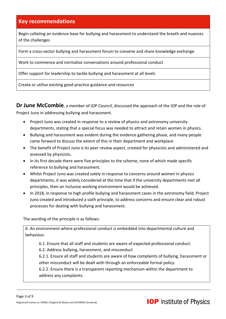Begin collating an evidence base for bullying and harassment to understand the breath and nuances of the challenges

Form a cross-sector bullying and harassment forum to convene and share knowledge exchange

Work to commence and normalise conversations around professional conduct

Offer support for leadership to tackle bullying and harassment at all levels

Create or utilise existing good practice guidance and resources

**Dr June McCombie**, a member of IOP Council, discussed the approach of the IOP and the role of Project Juno in addressing bullying and harassment.

- Project Juno was created in response to a review of physics and astronomy university departments, stating that a special focus was needed to attract and retain women in physics.
- Bullying and harassment was evident during the evidence gathering phase, and many people came forward to discuss the extent of this in their department and workplace
- The benefit of Project Juno is its peer review aspect, created for physicists and administered and assessed by physicists.
- In its first decade there were five principles to the scheme, none of which made specific reference to bullying and harassment.
- Whilst Project Juno was created solely in response to concerns around women in physics departments, it was widely considered at the time that if the university departments met all principles, then an inclusive working environment would be achieved.
- In 2018, in response to high profile bullying and harassment cases in the astronomy field, Project Juno created and introduced a sixth principle, to address concerns and ensure clear and robust processes for dealing with bullying and harassment.

The wording of the principle is as follows:

6. An environment where professional conduct is embedded into departmental culture and behaviour.

6.1. Ensure that all staff and students are aware of expected professional conduct.

6.2. Address bullying, harassment, and misconduct

6.2.1. Ensure all staff and students are aware of how complaints of bullying, harassment or other misconduct will be dealt with through an enforceable formal policy.

6.2.2. Ensure there is a transparent reporting mechanism within the department to address any complaints.

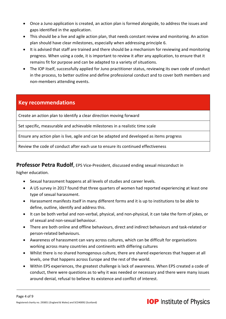- Once a Juno application is created, an action plan is formed alongside, to address the issues and gaps identified in the application.
- This should be a live and agile action plan, that needs constant review and monitoring. An action plan should have clear milestones, especially when addressing principle 6.
- It is advised that staff are trained and there should be a mechanism for reviewing and monitoring progress. When using a code, it is important to review it after any application, to ensure that it remains fit for purpose and can be adapted to a variety of situations.
- The IOP itself, successfully applied for Juno practitioner status, reviewing its own code of conduct in the process, to better outline and define professional conduct and to cover both members and non-members attending events.

Create an action plan to identify a clear direction moving forward

Set specific, measurable and achievable milestones in a realistic time scale

Ensure any action plan is live, agile and can be adapted and developed as items progress

Review the code of conduct after each use to ensure its continued effectiveness

### **Professor Petra Rudolf**, EPS Vice-President, discussed ending sexual misconduct in

higher education.

- Sexual harassment happens at all levels of studies and career levels.
- A US survey in 2017 found that three quarters of women had reported experiencing at least one type of sexual harassment.
- Harassment manifests itself in many different forms and it is up to institutions to be able to define, outline, identify and address this.
- It can be both verbal and non-verbal, physical, and non-physical, it can take the form of jokes, or of sexual and non-sexual behaviour.
- There are both online and offline behaviours, direct and indirect behaviours and task-related or person-related behaviours.
- Awareness of harassment can vary across cultures, which can be difficult for organisations working across many countries and continents with differing cultures
- Whilst there is no shared homogenous culture, there are shared experiences that happen at all levels, one that happens across Europe and the rest of the world.
- Within EPS experiences, the greatest challenge is lack of awareness. When EPS created a code of conduct, there were questions as to why it was needed or necessary and there were many issues around denial, refusal to believe its existence and conflict of interest.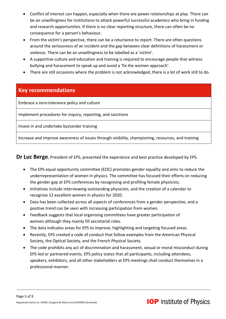- Conflict of interest can happen, especially when there are power relationships at play. There can be an unwillingness for institutions to attack powerful successful academics who bring in funding and research opportunities. If there is no clear reporting structure, there can often be no consequence for a person's behaviour.
- From the victim's perspective, there can be a reluctance to report. There are often questions around the seriousness of an incident and the gap between clear definitions of harassment or violence. There can be an unwillingness to be labelled as a 'victim'.
- A supportive culture and education and training is required to encourage people that witness bullying and harassment to speak up and avoid a 'fix the women approach'.
- There are still occasions where the problem is not acknowledged, there is a lot of work still to do.

Embrace a zero-tolerance policy and culture

Implement procedures for inquiry, reporting, and sanctions

Invest in and undertake bystander training

Increase and improve awareness of issues through visibility, championing, resources, and training

**Dr Luc Berge**, President of EPS, presented the experience and best practice developed by EPS.

- The EPS equal opportunity committee (EOC) promotes gender equality and aims to reduce the underrepresentation of women in physics. The committee has focused their efforts on reducing the gender gap at EPS conferences by recognising and profiling female physicists.
- Initiatives include interviewing outstanding physicists, and the creation of a calendar to recognise 12 excellent women in physics for 2020.
- Data has been collected across all aspects of conferences from a gender perspective, and a positive trend can be seen with increasing participation from women.
- Feedback suggests that local organising committees have greater participation of women although they mainly fill secretarial roles.
- The data indicates areas for EPS to improve, highlighting and targeting focused areas.
- Recently, EPS created a code of conduct that follow examples from the American Physical Society, the Optical Society, and the French Physical Society.
- The code prohibits any act of discrimination and harassment, sexual or moral misconduct during EPS-led or partnered events. EPS policy states that all participants, including attendees, speakers, exhibitors, and all other stakeholders at EPS meetings shall conduct themselves in a professional manner.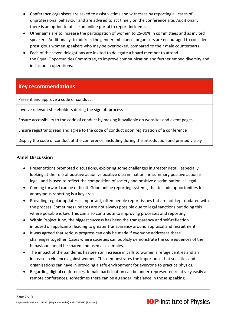- Conference organisers are asked to assist victims and witnesses by reporting all cases of unprofessional behaviour and are advised to act timely on the conference site. Additionally, there is an option to utilise an online portal to report incidents.
- Other aims are to increase the participation of women to 25-30% in committees and as invited speakers. Additionally, to address the gender imbalance, organisers are encouraged to consider prestigious women speakers who may be overlooked, compared to their male counterparts.
- Each of the seven delegations are invited to delegate a board member to attend the Equal Opportunities Committee, to improve communication and further embed diversity and inclusion in operations.

Present and approve a code of conduct

Involve relevant stakeholders during the sign off process

Ensure accessibility to the code of conduct by making it available on websites and event pages

Ensure registrants read and agree to the code of conduct upon registration of a conference

Display the code of conduct at the conference, including during the introduction and printed visibly

#### **Panel Discussion**

- Presentations prompted discussions, exploring some challenges in greater detail, especially looking at the role of positive action vs positive discrimination - in summary positive action is legal, and is used to reflect the composition of society and positive discrimination is illegal.
- Coming forward can be difficult. Good online reporting systems, that include opportunities for anonymous reporting is a key area.
- Providing regular updates is important, often people report issues but are not kept updated with the process. Sometimes updates are not always possible due to legal sanctions but doing this where possible is key. This can also contribute to improving processes and reporting.
- Within Project Juno, the biggest success has been the transparency and self-reflection imposed on applicants, leading to greater transparency around appraisal and recruitment.
- It was agreed that serious progress can only be made if everyone addresses these challenges together. Cases where societies can publicly demonstrate the consequences of the behaviour should be shared and used as examples.
- The impact of the pandemic has seen an increase in calls to women's refuge centres and an increase in violence against women. This demonstrates the importance that societies and organisations can have in providing a safe environment for everyone to practice physics.
- Regarding digital conferences, female participation can be under-represented relatively easily at remote conferences, sometimes there can be a gender imbalance in those speaking.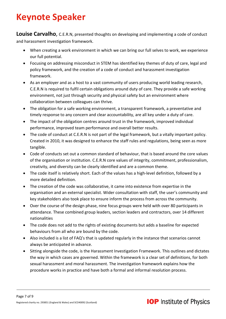# **Keynote Speaker**

**Louise Carvalho**, C.E.R.N, presented thoughts on developing and implementing a code of conduct and harassment investigation framework.

- When creating a work environment in which we can bring our full selves to work, we experience our full potential.
- Focusing on addressing misconduct in STEM has identified key themes of duty of care, legal and policy framework, and the creation of a code of conduct and harassment investigation framework.
- As an employer and as a host to a vast community of users producing world leading research, C.E.R.N is required to fulfil certain obligations around duty of care. They provide a safe working environment, not just through security and physical safety but an environment where collaboration between colleagues can thrive.
- The obligation for a safe working environment, a transparent framework, a preventative and timely response to any concern and clear accountability, are all key under a duty of care.
- The impact of the obligation centres around trust in the framework, improved individual performance, improved team performance and overall better results.
- The code of conduct at C.E.R.N is not part of the legal framework, but a vitally important policy. Created in 2010, it was designed to enhance the staff rules and regulations, being seen as more tangible.
- Code of conducts set out a common standard of behaviour, that is based around the core values of the organisation or institution. C.E.R.N core values of integrity, commitment, professionalism, creativity, and diversity can be clearly identified and are a common theme.
- The code itself is relatively short. Each of the values has a high-level definition, followed by a more detailed definition.
- The creation of the code was collaborative, it came into existence from expertise in the organisation and an external specialist. Wider consultation with staff, the user's community and key stakeholders also took place to ensure inform the process from across the community.
- Over the course of the design phase, nine focus groups were held with over 80 participants in attendance. These combined group leaders, section leaders and contractors, over 14 different nationalities
- The code does not add to the rights of existing documents but adds a baseline for expected behaviours from all who are bound by the code.
- Also included is a list of FAQ's that is updated regularly in the instance that scenarios cannot always be anticipated in advance.
- Sitting alongside the code, is the Harassment Investigation Framework. This outlines and dictates the way in which cases are governed. Within the framework is a clear set of definitions, for both sexual harassment and moral harassment. The investigation framework explains how the procedure works in practice and have both a formal and informal resolution process.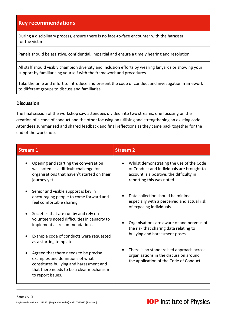During a disciplinary process, ensure there is no face-to-face encounter with the harasser for the victim

Panels should be assistive, confidential, impartial and ensure a timely hearing and resolution

All staff should visibly champion diversity and inclusion efforts by wearing lanyards or showing your support by familiarising yourself with the framework and procedures

Take the time and effort to introduce and present the code of conduct and investigation framework to different groups to discuss and familiarise

#### **Discussion**

The final session of the workshop saw attendees divided into two streams, one focusing on the creation of a code of conduct and the other focusing on utilising and strengthening an existing code. Attendees summarised and shared feedback and final reflections as they came back together for the end of the workshop.

| <b>Stream 1</b>                                                                                                                                                                       | <b>Stream 2</b>                                                                                                                                                |
|---------------------------------------------------------------------------------------------------------------------------------------------------------------------------------------|----------------------------------------------------------------------------------------------------------------------------------------------------------------|
| Opening and starting the conversation<br>was noted as a difficult challenge for<br>organisations that haven't started on their<br>journey yet.                                        | Whilst demonstrating the use of the Code<br>of Conduct and individuals are brought to<br>account is a positive, the difficulty in<br>reporting this was noted. |
| Senior and visible support is key in<br>$\bullet$<br>encouraging people to come forward and<br>feel comfortable sharing                                                               | Data collection should be minimal<br>especially with a perceived and actual risk<br>of exposing individuals.                                                   |
| Societies that are run by and rely on<br>$\bullet$<br>volunteers noted difficulties in capacity to<br>implement all recommendations.                                                  | Organisations are aware of and nervous of<br>the risk that sharing data relating to                                                                            |
| Example code of conducts were requested<br>as a starting template.                                                                                                                    | bullying and harassment poses.                                                                                                                                 |
| Agreed that there needs to be precise<br>examples and definitions of what<br>constitutes bullying and harassment and<br>that there needs to be a clear mechanism<br>to report issues. | There is no standardised approach across<br>organisations in the discussion around<br>the application of the Code of Conduct.                                  |